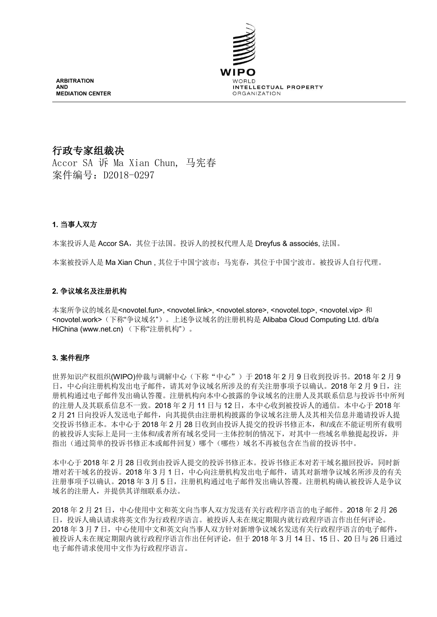

# 行政专家组裁决

Accor SA 诉 Ma Xian Chun, 马宪春 案件编号: D2018-0297

# 1. 当事人双方

本案投诉人是 Accor SA, 其位于法国。投诉人的授权代理人是 Dreyfus & associés, 法国。

本案被投诉人是 Ma Xian Chun, 其位于中国宁波市; 马宪春, 其位于中国宁波市。被投诉人自行代理。

### 2. 争议域名及注册机构

本案所争议的域名是<novotel.fun>, <novotel.link>, <novotel.store>, <novotel.top>, <novotel.vip>和 <novotel.work>(下称"争议域名")。上述争议域名的注册机构是 Alibaba Cloud Computing Ltd. d/b/a HiChina (www.net.cn) (下称"注册机构")。

# 3. 案件程序

世界知识产权组织(WIPO)仲裁与调解中心(下称"中心")于2018年2月9日收到投诉书。2018年2月9 日,中心向注册机构发出电子邮件,请其对争议域名所涉及的有关注册事项予以确认。2018年2月9日,注 册机构通过电子邮件发出确认答覆。注册机构向本中心披露的争议域名的注册人及其联系信息与投诉书中所列 的注册人及其联系信息不一致。2018年2月11日与12日,本中心收到被投诉人的通信。本中心于2018年 2月21日向投诉人发送电子邮件,向其提供由注册机构披露的争议域名注册人及其相关信息并邀请投诉人提 交投诉书修正本。本中心于2018年2月28日收到由投诉人提交的投诉书修正本,和/或在不能证明所有载明 的被投诉人实际上是同一主体和/或者所有域名受同一主体控制的情况下,对其中一些域名单独提起投诉,并 指出(通过简单的投诉书修正本或邮件回复)哪个(哪些)域名不再被包含在当前的投诉书中。

本中心于2018年2月28日收到由投诉人提交的投诉书修正本。投诉书修正本对若干域名撤回投诉,同时新 增对若干域名的投诉。2018年3月1日,中心向注册机构发出电子邮件,请其对新增争议域名所涉及的有关 注册事项予以确认。2018年3月5日,注册机构通过电子邮件发出确认答覆。注册机构确认被投诉人是争议 域名的注册人,并提供其详细联系办法。

2018年2月21日,中心使用中文和英文向当事人双方发送有关行政程序语言的电子邮件。2018年2月26 日, 投诉人确认请求将英文作为行政程序语言。被投诉人未在规定期限内就行政程序语言作出任何评论。 2018年3月7日,中心使用中文和英文向当事人双方针对新增争议域名发送有关行政程序语言的电子邮件, 被投诉人未在规定期限内就行政程序语言作出任何评论, 但于 2018年3月14日、15日、20日与26日通过 电子邮件请求使用中文作为行政程序语言。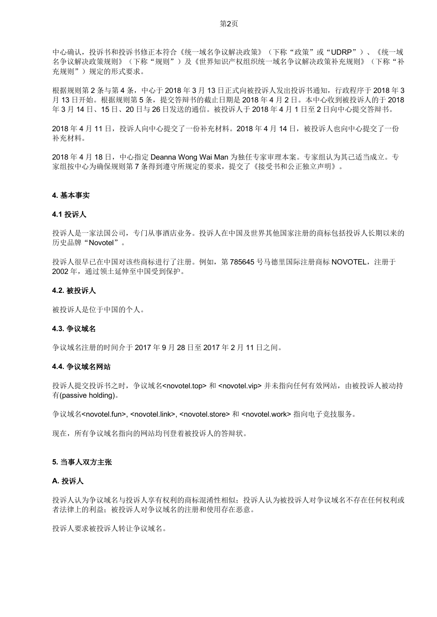中心确认, 投诉书和投诉书修正本符合《统一域名争议解决政策》(下称"政策"或"UDRP")、《统一域 名争议解决政策规则》(下称"规则")及《世界知识产权组织统一域名争议解决政策补充规则》(下称"补 充规则")规定的形式要求。

根据规则第2条与第4条,中心于2018年3月13日正式向被投诉人发出投诉书通知,行政程序于2018年3 月 13 日开始。根据规则第5条,提交答辩书的截止日期是2018年4月2日。本中心收到被投诉人的于2018 年3月14日、15日、20日与26日发送的通信。被投诉人于2018年4月1日至2日向中心提交答辩书。

2018年4月11日,投诉人向中心提交了一份补充材料。2018年4月14日,被投诉人也向中心提交了一份 补充材料。

2018 年 4 月 18 日, 中心指定 Deanna Wong Wai Man 为独任专家审理本案。专家组认为其己适当成立。专 家组按中心为确保规则第7 条得到遵守所规定的要求, 提交了《接受书和公正独立声明》。

#### **4. 基本事实**

#### **4.1 投诉人**

投诉人是一家法国公司,专门从事酒店业务。投诉人在中国及世界其他国家注册的商标包括投诉人长期以来的 历史品牌"Novotel"。

投诉人很早已在中国对该些商标进行了注册。例如, 第785645 号马德里国际注册商标 NOVOTEL, 注册于 2002年, 通过领土延伸至中国受到保护。

#### 4.2. 被投诉人

被投诉人是位于中国的个人。

#### 4.3. 争议域名

争议域名注册的时间介于 2017 年 9 月 28 日至 2017 年 2 月 11 日之间。

#### 4.4. 争议域名网站

投诉人提交投诉书之时, 争议域名<novotel.top> 和 <novotel.vip> 并未指向任何有效网站, 由被投诉人被动持  $\overline{f}$ (passive holding).

争议域名<novotel.fun>, <novotel.link>, <novotel.store> 和 <novotel.work> 指向电子竞技服务。

现在, 所有争议域名指向的网站均刊登着被投诉人的答辩状。

### 5. 当事人双方主张

## **A. 投诉人**

投诉人认为争议域名与投诉人享有权利的商标混淆性相似;投诉人认为被投诉人对争议域名不存在任何权利或 者法律上的利益: 被投诉人对争议域名的注册和使用存在恶意。

投诉人要求被投诉人转让争议域名。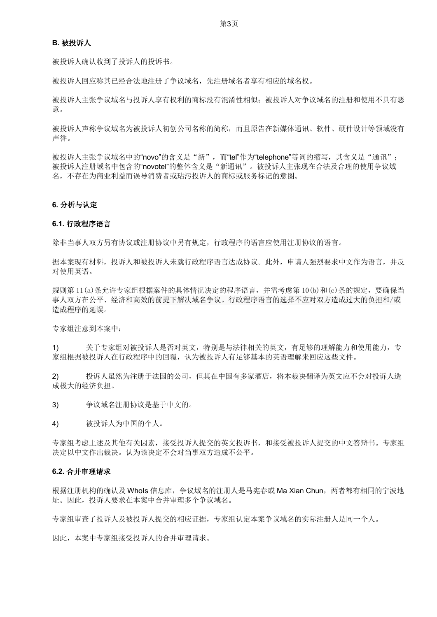#### B. 被投诉人

被投诉人确认收到了投诉人的投诉书。

被投诉人回应称其已经合法地注册了争议域名,先注册域名者享有相应的域名权。

被投诉人主张争议域名与投诉人享有权利的商标没有混淆性相似; 被投诉人对争议域名的注册和使用不具有恶 意。

被投诉人声称争议域名为被投诉人初创公司名称的简称,而且原告在新媒体通讯、软件、硬件设计等领域没有 声誉。

被投诉人主张争议域名中的"novo"的含义是"新",而"tel"作为"telephone"等词的缩写,其含义是"通讯"; 被投诉人注册域名中包含的"novotel"的整体含义是"新通讯"。被投诉人主张现在合法及合理的使用争议域 名,不存在为商业利益而误导消费者或玷污投诉人的商标或服务标记的意图。

### 6. 分析与认定

#### 6.1. 行政程序语言

除非当事人双方另有协议或注册协议中另有规定,行政程序的语言应使用注册协议的语言。

据本案现有材料, 投诉人和被投诉人未就行政程序语言达成协议。此外, 申请人强烈要求中文作为语言, 并反 对使用英语。

规则第 11(a)条允许专家组根据案件的具体情况决定的程序语言,并需考虑第 10(b)和(c)条的规定,要确保当 事人双方在公平、经济和高效的前提下解决域名争议。行政程序语言的选择不应对双方造成过大的负担和/或 造成程序的延误。

专家组注意到本案中:

关于专家组对被投诉人是否对英文,特别是与法律相关的英文,有足够的理解能力和使用能力,专  $1)$ 家组根据被投诉人在行政程序中的回覆,认为被投诉人有足够基本的英语理解来回应这些文件。

投诉人虽然为注册于法国的公司, 但其在中国有多家酒店, 将本裁决翻译为英文应不会对投诉人造  $(2)$ 成极大的经济负担。

- $3)$ 争议域名注册协议是基于中文的。
- $4)$ 被投诉人为中国的个人。

专家组考虑上述及其他有关因素,接受投诉人提交的英文投诉书,和接受被投诉人提交的中文答辩书。专家组 决定以中文作出裁决。认为该决定不会对当事双方造成不公平。

#### 6.2. 合并审理请求

根据注册机构的确认及 Whols 信息库, 争议域名的注册人是马宪春或 Ma Xian Chun, 两者都有相同的宁波地 址。因此, 投诉人要求在本案中合并审理多个争议域名。

专家组审查了投诉人及被投诉人提交的相应证据,专家组认定本案争议域名的实际注册人是同一个人。

因此,本案中专家组接受投诉人的合并审理请求。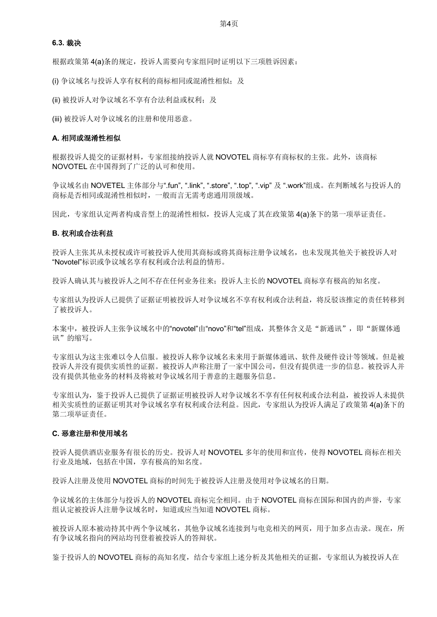第4页

#### 6.3. 裁决

根据政策第4(a)条的规定, 投诉人需要向专家组同时证明以下三项胜诉因素:

(i) 争议域名与投诉人享有权利的商标相同或混淆性相似; 及

(ii) 被投诉人对争议域名不享有合法利益或权利; 及

(iii) 被投诉人对争议域名的注册和使用恶意。

#### A. 相同或混淆性相似

根据投诉人提交的证据材料, 专家组接纳投诉人就 NOVOTEL 商标享有商标权的主张。此外, 该商标 NOVOTEL 在中国得到了广泛的认可和使用。

争议域名由 NOVETEL 主体部分与".fun", ".link", ".store", ".top", ".vip" 及 ".work"组成。在判断域名与投诉人的 商标是否相同或混淆性相似时, 一般而言无需考虑通用顶级域。

因此,专家组认定两者构成音型上的混淆性相似,投诉人完成了其在政策第 4(a)条下的第一项举证责任。

#### B. 权利或合法利益

投诉人主张其从未授权或许可被投诉人使用其商标或将其商标注册争议域名, 也未发现其他关于被投诉人对 "Novotel"标识或争议域名享有权利或合法利益的情形。

投诉人确认其与被投诉人之间不存在任何业务往来: 投诉人主长的 NOVOTEL 商标享有极高的知名度。

专家组认为投诉人已提供了证据证明被投诉人对争议域名不享有权利或合法利益,将反驳该推定的责任转移到 了被投诉人。

本案中,被投诉人主张争议域名中的"novotel"由"novo"和"tel"组成,其整体含义是"新通讯",即"新媒体通 讯"的缩写。

专家组认为这主张难以令人信服。被投诉人称争议域名未来用于新媒体通讯、软件及硬件设计等领域。但是被 投诉人并没有提供实质性的证据。被投诉人声称注册了一家中国公司, 但没有提供讲一步的信息。被投诉人并 没有提供其他业务的材料及将被对争议域名用于善意的主题服务信息。

专家组认为, 鉴于投诉人已提供了证据证明被投诉人对争议域名不享有任何权利或合法利益, 被投诉人未提供 相关实质性的证据证明其对争议域名享有权利或合法利益。因此, 专家组认为投诉人满足了政策第 4(a)条下的 第二项举证责任。

#### C. 恶意注册和使用域名

投诉人提供酒店业服务有很长的历史。投诉人对 NOVOTEL 多年的使用和宣传, 使得 NOVOTEL 商标在相关 行业及地域,包括在中国,享有极高的知名度。

投诉人注册及使用 NOVOTEL 商标的时间先于被投诉人注册及使用对争议域名的日期。

争议域名的主体部分与投诉人的 NOVOTEL 商标完全相同。由于 NOVOTEL 商标在国际和国内的声誉, 专家 组认定被投诉人注册争议域名时, 知道或应当知道 NOVOTEL 商标。

被投诉人原本被动持其中两个争议域名,其他争议域名连接到与电竞相关的网页,用于加多点击录。现在,所 有争议域名指向的网站均刊登着被投诉人的答辩状。

鉴于投诉人的 NOVOTEL 商标的高知名度, 结合专家组上述分析及其他相关的证据, 专家组认为被投诉人在